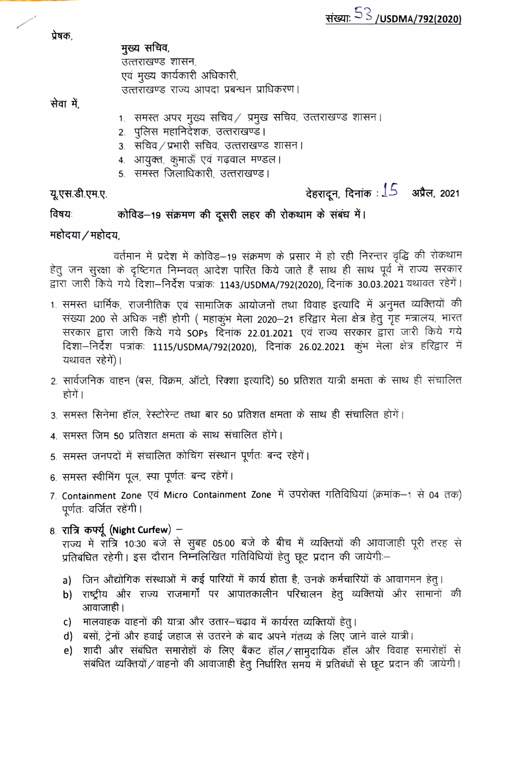प्रेषक.

मुख्य सचिव, उत्तराखण्ड शासन, एवं मुख्य कार्यकारी अधिकारी, उत्तराखण्ड राज्य आपदा प्रबन्धन प्राधिकरण।

सेवा में.

- 1. समस्त अपर मुख्य सचिव / प्रमुख सचिव, उत्तराखण्ड शासन।
- 2. पुलिस महानिर्देशक, उत्तराखण्ड।
- 3. सचिव / प्रभारी सचिव, उत्तराखण्ड शासन।
- 4. आयुक्त, कुमाऊँ एवं गढ़वाल मण्डल।
- 5. समस्त जिलाधिकारी, उत्तराखण्ड।

यू.एस.डी.एम.ए.

## देहरादन, दिनांक :  $15$  अप्रैल, 2021

## कोविड़—19 संक्रमण की दूसरी लहर की रोकथाम के संबंध में। विषयः

महोदया / महोदय.

वर्तमान में प्रदेश में कोविड–19 संक्रमण के प्रसार में हो रही निरन्तर वृद्धि की रोकथाम हेतु जन सुरक्षा के दृष्टिगत निम्नवत् आदेश पारित किये जाते हैं साथ ही साथ पूर्व में राज्य सरकार द्वारा जारी किये गये दिशा-निर्देश पत्रांकः 1143/USDMA/792(2020), दिनांक 30.03.2021 यथावत रहेगें।

- 1. समस्त धार्मिक, राजनीतिक एवं सामाजिक आयोजनों तथा विवाह इत्यादि में अनुमत व्यक्तियों की संख्या 200 से अधिक नहीं होगी ( महाकुंभ मेला 2020-21 हरिद्वार मेला क्षेत्र हेतु गृह मंत्रालय, भारत सरकार द्वारा जारी किये गये SOPs दिनांक 22.01.2021 एवं राज्य सरकार द्वारा जारी किये गये दिशा-निर्देश पत्रांकः 1115/USDMA/792(2020), दिनांक 26.02.2021 कुंभ मेला क्षेत्र हरिद्वार में यथावत रहेगें)।
- 2. सार्वजनिक वाहन (बस, विक्रम, ऑटो, रिक्शा इत्यादि) 50 प्रतिशत यात्री क्षमता के साथ ही संचालित होगें ।
- 3. समस्त सिनेमा हॉल, रेस्टोरेन्ट तथा बार 50 प्रतिशत क्षमता के साथ ही संचालित होगें।
- 4. समस्त जिम 50 प्रतिशत क्षमता के साथ संचालित होंगे।
- 5. समस्त जनपदों में संचालित कोचिंग संस्थान पूर्णतः बन्द रहेगें।
- 6. समस्त स्वीमिंग पूल, स्पा पूर्णतः बन्द रहेगें।
- 7. Containment Zone एवं Micro Containment Zone में उपरोक्त गतिविधियां (क्रमांक-1 से 04 तक) पूर्णतः वर्जित रहेंगी।

8. रात्रि कर्फ्यू (Night Curfew) –

राज्य में रात्रि 10:30 बजे से सुबह 05:00 बजे के बीच में व्यक्तियों की आवाजाही पूरी तरह से प्रतिबंधित रहेगी। इस दौरान निम्नलिखित गतिविधियों हेतु छूट प्रदान की जायेगी:-

- a) जिन औद्योगिक संस्थाओं में कई पारियों में कार्य होता है, उनके कर्मचारियों के आवागमन हेत् ।
- b) राष्ट्रीय और राज्य राजमार्गों पर आपातकालीन परिचालन हेतु व्यक्तियों और सामानों की आवाजाही।
- मालवाहक वाहनों की यात्रा और उतार-चढ़ाव में कार्यरत व्यक्तियों हेतू। c)
- d) बसों, ट्रेनों और हवाई जहाज से उतरने के बाद अपने गंतव्य के लिए जाने वाले यात्री।
- शादी और संबंधित समारोहों के लिए बैंकट हॉल/सामुदायिक हॉल और विवाह समारोहों से e) संबंधित व्यक्तियों / वाहनों की आवाजाही हेतू निर्धारित समय में प्रतिबंधों से छूट प्रदान की जायेगी।